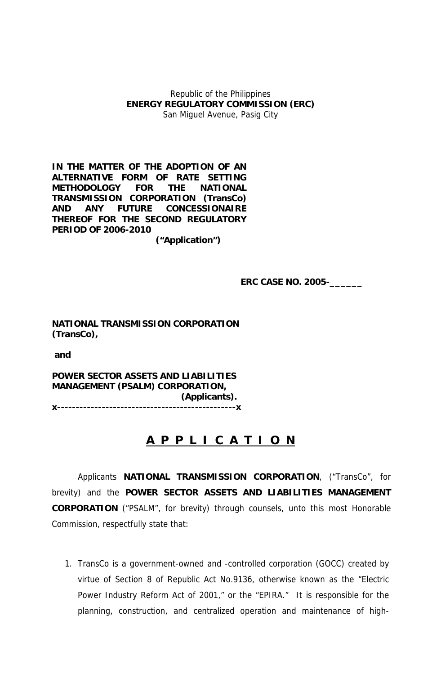Republic of the Philippines **ENERGY REGULATORY COMMISSION (ERC)**  San Miguel Avenue, Pasig City

**IN THE MATTER OF THE ADOPTION OF AN ALTERNATIVE FORM OF RATE SETTING METHODOLOGY FOR THE NATIONAL TRANSMISSION CORPORATION (TransCo) AND ANY FUTURE CONCESSIONAIRE THEREOF FOR THE SECOND REGULATORY PERIOD OF 2006-2010** 

**("Application")** 

 **ERC CASE NO. 2005-\_\_\_\_\_\_** 

**NATIONAL TRANSMISSION CORPORATION (TransCo),** 

 **and** 

**POWER SECTOR ASSETS AND LIABILITIES MANAGEMENT (PSALM) CORPORATION, (Applicants).** 

**x------------------------------------------------x**

# **A P P L I C A T I O N**

Applicants **NATIONAL TRANSMISSION CORPORATION**, ("TransCo", for brevity) and the **POWER SECTOR ASSETS AND LIABILITIES MANAGEMENT CORPORATION** ("PSALM", for brevity) through counsels, unto this most Honorable Commission, respectfully state that:

1. TransCo is a government-owned and -controlled corporation (GOCC) created by virtue of Section 8 of Republic Act No.9136, otherwise known as the "Electric Power Industry Reform Act of 2001," or the "EPIRA." It is responsible for the planning, construction, and centralized operation and maintenance of high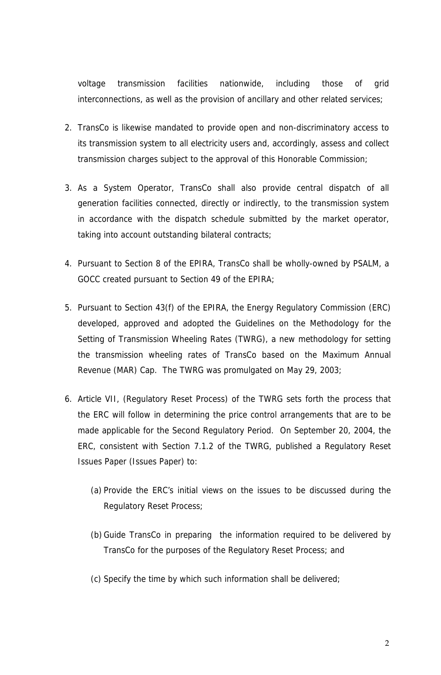voltage transmission facilities nationwide, including those of grid interconnections, as well as the provision of ancillary and other related services;

- 2. TransCo is likewise mandated to provide open and non-discriminatory access to its transmission system to all electricity users and, accordingly, assess and collect transmission charges subject to the approval of this Honorable Commission;
- 3. As a System Operator, TransCo shall also provide central dispatch of all generation facilities connected, directly or indirectly, to the transmission system in accordance with the dispatch schedule submitted by the market operator, taking into account outstanding bilateral contracts;
- 4. Pursuant to Section 8 of the EPIRA, TransCo shall be wholly-owned by PSALM, a GOCC created pursuant to Section 49 of the EPIRA;
- 5. Pursuant to Section 43(f) of the EPIRA, the Energy Regulatory Commission (ERC) developed, approved and adopted the Guidelines on the Methodology for the Setting of Transmission Wheeling Rates (TWRG), a new methodology for setting the transmission wheeling rates of TransCo based on the Maximum Annual Revenue (MAR) Cap. The TWRG was promulgated on May 29, 2003;
- 6. Article VII, (Regulatory Reset Process) of the TWRG sets forth the process that the ERC will follow in determining the price control arrangements that are to be made applicable for the Second Regulatory Period. On September 20, 2004, the ERC, consistent with Section 7.1.2 of the TWRG, published a Regulatory Reset Issues Paper (Issues Paper) to:
	- (a) Provide the ERC's initial views on the issues to be discussed during the Regulatory Reset Process;
	- (b) Guide TransCo in preparing the information required to be delivered by TransCo for the purposes of the Regulatory Reset Process; and
	- (c) Specify the time by which such information shall be delivered;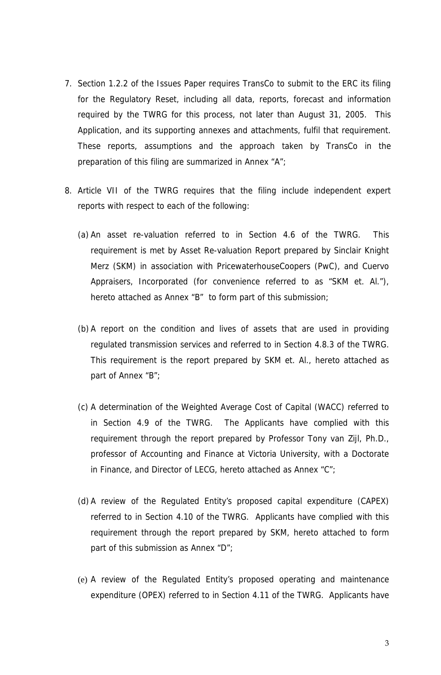- 7. Section 1.2.2 of the Issues Paper requires TransCo to submit to the ERC its filing for the Regulatory Reset, including all data, reports, forecast and information required by the TWRG for this process, not later than August 31, 2005. This Application, and its supporting annexes and attachments, fulfil that requirement. These reports, assumptions and the approach taken by TransCo in the preparation of this filing are summarized in Annex "A";
- 8. Article VII of the TWRG requires that the filing include independent expert reports with respect to each of the following:
	- (a) An asset re-valuation referred to in Section 4.6 of the TWRG. This requirement is met by Asset Re-valuation Report prepared by Sinclair Knight Merz (SKM) in association with PricewaterhouseCoopers (PwC), and Cuervo Appraisers, Incorporated (for convenience referred to as "SKM et. Al."), hereto attached as Annex "B" to form part of this submission;
	- (b) A report on the condition and lives of assets that are used in providing regulated transmission services and referred to in Section 4.8.3 of the TWRG. This requirement is the report prepared by SKM et. Al., hereto attached as part of Annex "B";
	- (c) A determination of the Weighted Average Cost of Capital (WACC) referred to in Section 4.9 of the TWRG. The Applicants have complied with this requirement through the report prepared by Professor Tony van Zijl, Ph.D., professor of Accounting and Finance at Victoria University, with a Doctorate in Finance, and Director of LECG, hereto attached as Annex "C";
	- (d) A review of the Regulated Entity's proposed capital expenditure (CAPEX) referred to in Section 4.10 of the TWRG. Applicants have complied with this requirement through the report prepared by SKM, hereto attached to form part of this submission as Annex "D";
	- (e) A review of the Regulated Entity's proposed operating and maintenance expenditure (OPEX) referred to in Section 4.11 of the TWRG. Applicants have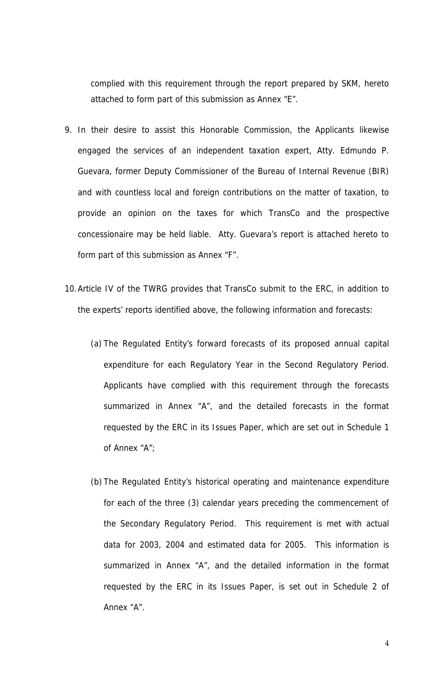complied with this requirement through the report prepared by SKM, hereto attached to form part of this submission as Annex "E".

- 9. In their desire to assist this Honorable Commission, the Applicants likewise engaged the services of an independent taxation expert, Atty. Edmundo P. Guevara, former Deputy Commissioner of the Bureau of Internal Revenue (BIR) and with countless local and foreign contributions on the matter of taxation, to provide an opinion on the taxes for which TransCo and the prospective concessionaire may be held liable. Atty. Guevara's report is attached hereto to form part of this submission as Annex "F".
- 10.Article IV of the TWRG provides that TransCo submit to the ERC, in addition to the experts' reports identified above, the following information and forecasts:
	- (a) The Regulated Entity's forward forecasts of its proposed annual capital expenditure for each Regulatory Year in the Second Regulatory Period. Applicants have complied with this requirement through the forecasts summarized in Annex "A", and the detailed forecasts in the format requested by the ERC in its Issues Paper, which are set out in Schedule 1 of Annex "A";
	- (b) The Regulated Entity's historical operating and maintenance expenditure for each of the three (3) calendar years preceding the commencement of the Secondary Regulatory Period. This requirement is met with actual data for 2003, 2004 and estimated data for 2005. This information is summarized in Annex "A", and the detailed information in the format requested by the ERC in its Issues Paper, is set out in Schedule 2 of Annex "A".

4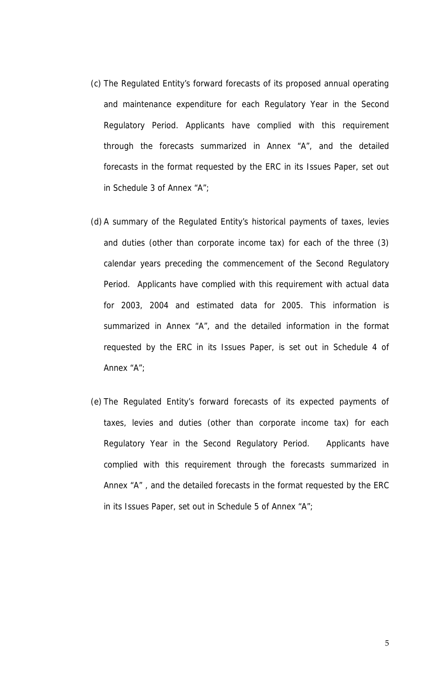- (c) The Regulated Entity's forward forecasts of its proposed annual operating and maintenance expenditure for each Regulatory Year in the Second Regulatory Period. Applicants have complied with this requirement through the forecasts summarized in Annex "A", and the detailed forecasts in the format requested by the ERC in its Issues Paper, set out in Schedule 3 of Annex "A";
- (d) A summary of the Regulated Entity's historical payments of taxes, levies and duties (other than corporate income tax) for each of the three (3) calendar years preceding the commencement of the Second Regulatory Period. Applicants have complied with this requirement with actual data for 2003, 2004 and estimated data for 2005. This information is summarized in Annex "A", and the detailed information in the format requested by the ERC in its Issues Paper, is set out in Schedule 4 of Annex "A";
- (e) The Regulated Entity's forward forecasts of its expected payments of taxes, levies and duties (other than corporate income tax) for each Regulatory Year in the Second Regulatory Period. Applicants have complied with this requirement through the forecasts summarized in Annex "A" , and the detailed forecasts in the format requested by the ERC in its Issues Paper, set out in Schedule 5 of Annex "A";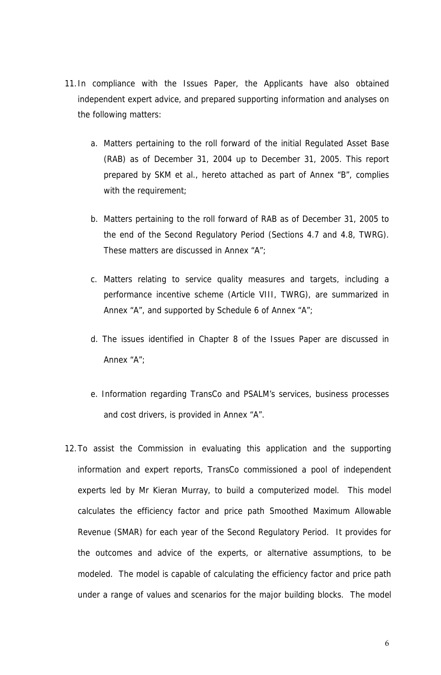- 11.In compliance with the Issues Paper, the Applicants have also obtained independent expert advice, and prepared supporting information and analyses on the following matters:
	- a. Matters pertaining to the roll forward of the initial Regulated Asset Base (RAB) as of December 31, 2004 up to December 31, 2005. This report prepared by SKM et al., hereto attached as part of Annex "B", complies with the requirement;
	- b. Matters pertaining to the roll forward of RAB as of December 31, 2005 to the end of the Second Regulatory Period (Sections 4.7 and 4.8, TWRG). These matters are discussed in Annex "A";
	- c. Matters relating to service quality measures and targets, including a performance incentive scheme (Article VIII, TWRG), are summarized in Annex "A", and supported by Schedule 6 of Annex "A";
	- d. The issues identified in Chapter 8 of the Issues Paper are discussed in Annex "A";
	- e. Information regarding TransCo and PSALM's services, business processes and cost drivers, is provided in Annex "A".
- 12.To assist the Commission in evaluating this application and the supporting information and expert reports, TransCo commissioned a pool of independent experts led by Mr Kieran Murray, to build a computerized model. This model calculates the efficiency factor and price path Smoothed Maximum Allowable Revenue (SMAR) for each year of the Second Regulatory Period. It provides for the outcomes and advice of the experts, or alternative assumptions, to be modeled. The model is capable of calculating the efficiency factor and price path under a range of values and scenarios for the major building blocks. The model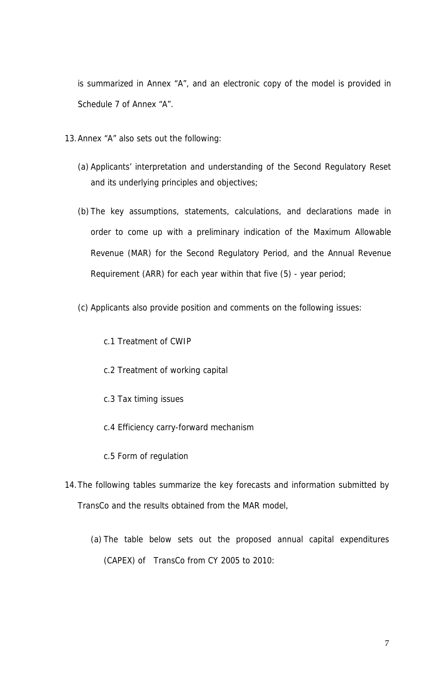is summarized in Annex "A", and an electronic copy of the model is provided in Schedule 7 of Annex "A".

- 13.Annex "A" also sets out the following:
	- (a) Applicants' interpretation and understanding of the Second Regulatory Reset and its underlying principles and objectives;
	- (b) The key assumptions, statements, calculations, and declarations made in order to come up with a preliminary indication of the Maximum Allowable Revenue (MAR) for the Second Regulatory Period, and the Annual Revenue Requirement (ARR) for each year within that five (5) - year period;
	- (c) Applicants also provide position and comments on the following issues:
		- c.1 Treatment of CWIP
		- c.2 Treatment of working capital
		- c.3 Tax timing issues
		- c.4 Efficiency carry-forward mechanism
		- c.5 Form of regulation
- 14.The following tables summarize the key forecasts and information submitted by TransCo and the results obtained from the MAR model,
	- (a) The table below sets out the proposed annual capital expenditures (CAPEX) of TransCo from CY 2005 to 2010: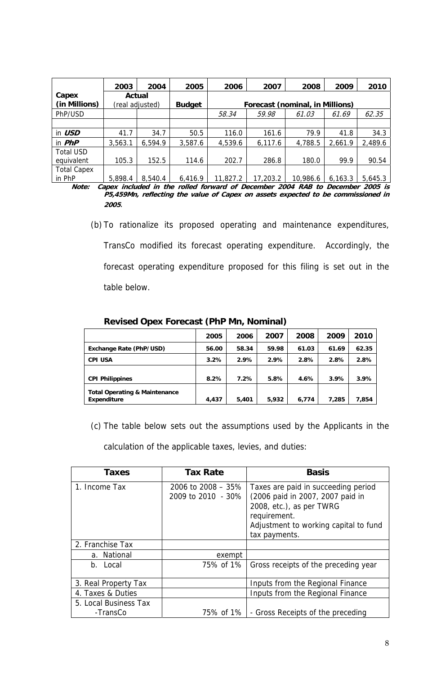|                    | 2003    | 2004            | 2005          | 2006    | 2007                            | 2008    | 2009    | 2010    |
|--------------------|---------|-----------------|---------------|---------|---------------------------------|---------|---------|---------|
| Capex              |         | Actual          |               |         |                                 |         |         |         |
| (in Millions)      |         | (real adjusted) | <b>Budget</b> |         | Forecast (nominal, in Millions) |         |         |         |
| PhP/USD            |         |                 |               | 58.34   | 59.98                           | 61.03   | 61.69   | 62.35   |
|                    |         |                 |               |         |                                 |         |         |         |
| in USD             | 41.7    | 34.7            | 50.5          | 116.0   | 161.6                           | 79.9    | 41.8    | 34.3    |
| in $PhP$           | 3,563.1 | 6,594.9         | 3,587.6       | 4,539.6 | 6,117.6                         | 4,788.5 | 2,661.9 | 2,489.6 |
| <b>Total USD</b>   |         |                 |               |         |                                 |         |         |         |
| equivalent         | 105.3   | 152.5           | 114.6         | 202.7   | 286.8                           | 180.0   | 99.9    | 90.54   |
| <b>Total Capex</b> | - --- - |                 | .             |         |                                 | .       | .       |         |

 $\frac{1}{10}$  PhP  $\frac{5,898.4}{8,540.4}$  6,416.9 11,827.2 17,203.2 10,986.6 6,163.3 5,645.3 **Note: Capex included in the rolled forward of December 2004 RAB to December 2005 is P5,459Mn, reflecting the value of Capex on assets expected to be commissioned in <sup>2005</sup>**.

> (b) To rationalize its proposed operating and maintenance expenditures, TransCo modified its forecast operating expenditure. Accordingly, the forecast operating expenditure proposed for this filing is set out in the table below.

|                                                         | 2005  | 2006  | 2007  | 2008  | 2009  | 2010  |
|---------------------------------------------------------|-------|-------|-------|-------|-------|-------|
| Exchange Rate (PhP/USD)                                 | 56.00 | 58.34 | 59.98 | 61.03 | 61.69 | 62.35 |
| <b>CPI USA</b>                                          | 3.2%  | 2.9%  | 2.9%  | 2.8%  | 2.8%  | 2.8%  |
| <b>CPI Philippines</b>                                  | 8.2%  | 7.2%  | 5.8%  | 4.6%  | 3.9%  | 3.9%  |
|                                                         |       |       |       |       |       |       |
| <b>Total Operating &amp; Maintenance</b><br>Expenditure | 4,437 | 5,401 | 5.932 | 6.774 | 7.285 | 7,854 |

#### **Revised Opex Forecast (PhP Mn, Nominal)**

(c) The table below sets out the assumptions used by the Applicants in the

calculation of the applicable taxes, levies, and duties:

| <b>Taxes</b>          | <b>Tax Rate</b>                             | <b>Basis</b>                                                                                                        |
|-----------------------|---------------------------------------------|---------------------------------------------------------------------------------------------------------------------|
| 1. Income Tax         | 2006 to $2008 - 35\%$<br>2009 to 2010 - 30% | Taxes are paid in succeeding period<br>(2006 paid in 2007, 2007 paid in<br>2008, etc.), as per TWRG<br>requirement. |
|                       |                                             | Adjustment to working capital to fund<br>tax payments.                                                              |
| 2. Franchise Tax      |                                             |                                                                                                                     |
| a. National           | exempt                                      |                                                                                                                     |
| b. Local              | 75% of 1%                                   | Gross receipts of the preceding year                                                                                |
| 3. Real Property Tax  |                                             | Inputs from the Regional Finance                                                                                    |
| 4. Taxes & Duties     |                                             | Inputs from the Regional Finance                                                                                    |
| 5. Local Business Tax |                                             |                                                                                                                     |
| -TransCo              | 75% of 1%                                   | - Gross Receipts of the preceding                                                                                   |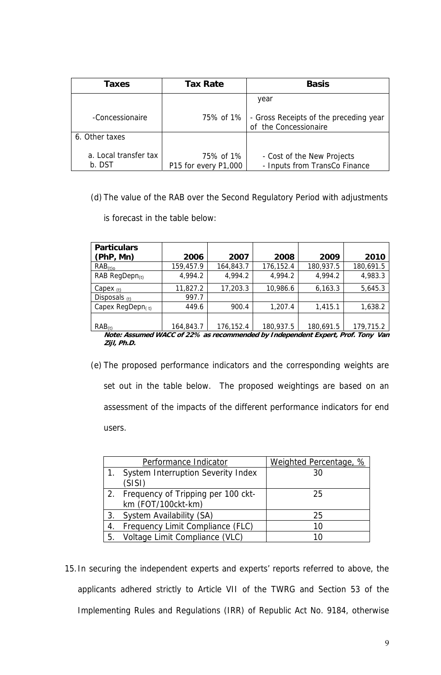| Taxes                           | <b>Tax Rate</b>                   | <b>Basis</b>                                                    |
|---------------------------------|-----------------------------------|-----------------------------------------------------------------|
|                                 |                                   | year                                                            |
| -Concessionaire                 | 75% of 1%                         | - Gross Receipts of the preceding year<br>of the Concessionaire |
| 6. Other taxes                  |                                   |                                                                 |
| a. Local transfer tax<br>b. DST | 75% of 1%<br>P15 for every P1,000 | - Cost of the New Projects<br>- Inputs from TransCo Finance     |

(d) The value of the RAB over the Second Regulatory Period with adjustments

is forecast in the table below:

| 2006      | 2007      | 2008      | 2009      | 2010                                                                            |
|-----------|-----------|-----------|-----------|---------------------------------------------------------------------------------|
| 159,457.9 | 164,843.7 | 176,152.4 | 180,937.5 | 180,691.5                                                                       |
| 4,994.2   | 4,994.2   | 4,994.2   | 4,994.2   | 4,983.3                                                                         |
| 11,827.2  | 17,203.3  | 10,986.6  | 6,163.3   | 5,645.3                                                                         |
| 997.7     |           |           |           |                                                                                 |
| 449.6     | 900.4     | 1,207.4   | 1,415.1   | 1,638.2                                                                         |
|           |           |           |           |                                                                                 |
| 164,843.7 | 176,152.4 | 180,937.5 | 180,691.5 | 179,715.2                                                                       |
|           |           |           |           | Nato: Assumed WACC of 22% as recommended by Independent Expert, Prof. Topy, Van |

**Note: Assumed WACC of 22% as recommended by Independent Expert, Prof. Tony Van Zijl, Ph.D.** 

(e) The proposed performance indicators and the corresponding weights are set out in the table below. The proposed weightings are based on an assessment of the impacts of the different performance indicators for end users.

|    | Performance Indicator              | Weighted Percentage, % |
|----|------------------------------------|------------------------|
| 1. | System Interruption Severity Index | 30                     |
|    | (SISI)                             |                        |
|    | Frequency of Tripping per 100 ckt- | 25                     |
|    | km (FOT/100ckt-km)                 |                        |
|    | 3. System Availability (SA)        | 25                     |
|    | Frequency Limit Compliance (FLC)   | 10                     |
| 5. | Voltage Limit Compliance (VLC)     | 10                     |

15.In securing the independent experts and experts' reports referred to above, the applicants adhered strictly to Article VII of the TWRG and Section 53 of the Implementing Rules and Regulations (IRR) of Republic Act No. 9184, otherwise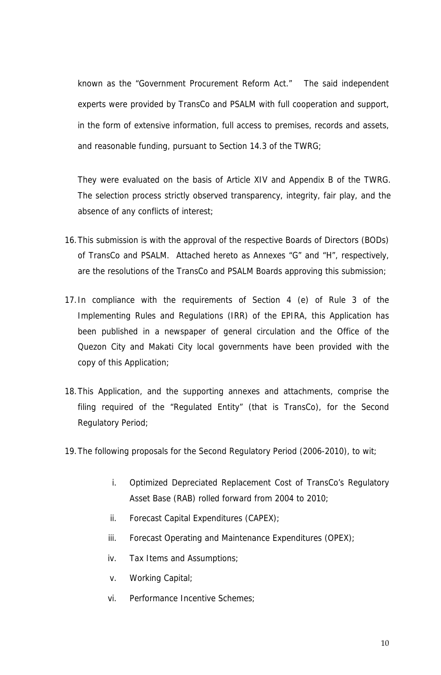known as the "Government Procurement Reform Act." The said independent experts were provided by TransCo and PSALM with full cooperation and support, in the form of extensive information, full access to premises, records and assets, and reasonable funding, pursuant to Section 14.3 of the TWRG;

They were evaluated on the basis of Article XIV and Appendix B of the TWRG. The selection process strictly observed transparency, integrity, fair play, and the absence of any conflicts of interest;

- 16.This submission is with the approval of the respective Boards of Directors (BODs) of TransCo and PSALM. Attached hereto as Annexes "G" and "H", respectively, are the resolutions of the TransCo and PSALM Boards approving this submission;
- 17.In compliance with the requirements of Section 4 (e) of Rule 3 of the Implementing Rules and Regulations (IRR) of the EPIRA, this Application has been published in a newspaper of general circulation and the Office of the Quezon City and Makati City local governments have been provided with the copy of this Application;
- 18.This Application, and the supporting annexes and attachments, comprise the filing required of the "Regulated Entity" (that is TransCo), for the Second Regulatory Period;
- 19.The following proposals for the Second Regulatory Period (2006-2010), to wit;
	- i. Optimized Depreciated Replacement Cost of TransCo's Regulatory Asset Base (RAB) rolled forward from 2004 to 2010;
	- ii. Forecast Capital Expenditures (CAPEX);
	- iii. Forecast Operating and Maintenance Expenditures (OPEX);
	- iv. Tax Items and Assumptions;
	- v. Working Capital;
	- vi. Performance Incentive Schemes;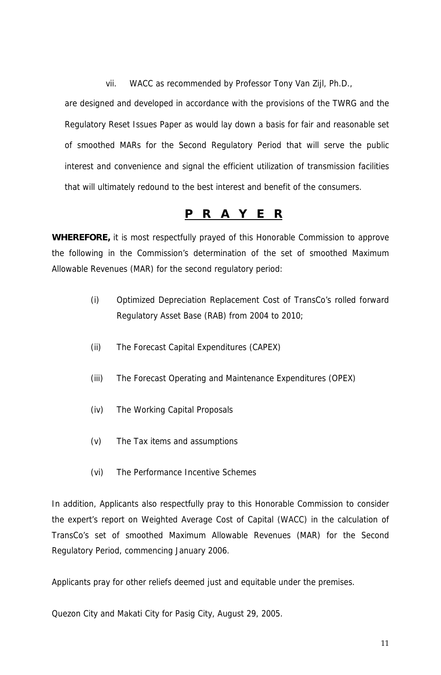vii. WACC as recommended by Professor Tony Van Zijl, Ph.D.,

are designed and developed in accordance with the provisions of the TWRG and the Regulatory Reset Issues Paper as would lay down a basis for fair and reasonable set of smoothed MARs for the Second Regulatory Period that will serve the public interest and convenience and signal the efficient utilization of transmission facilities that will ultimately redound to the best interest and benefit of the consumers.

# **P R A Y E R**

**WHEREFORE,** it is most respectfully prayed of this Honorable Commission to approve the following in the Commission's determination of the set of smoothed Maximum Allowable Revenues (MAR) for the second regulatory period:

- (i) Optimized Depreciation Replacement Cost of TransCo's rolled forward Regulatory Asset Base (RAB) from 2004 to 2010;
- (ii) The Forecast Capital Expenditures (CAPEX)
- (iii) The Forecast Operating and Maintenance Expenditures (OPEX)
- (iv) The Working Capital Proposals
- (v) The Tax items and assumptions
- (vi) The Performance Incentive Schemes

In addition, Applicants also respectfully pray to this Honorable Commission to consider the expert's report on Weighted Average Cost of Capital (WACC) in the calculation of TransCo's set of smoothed Maximum Allowable Revenues (MAR) for the Second Regulatory Period, commencing January 2006.

Applicants pray for other reliefs deemed just and equitable under the premises.

Quezon City and Makati City for Pasig City, August 29, 2005.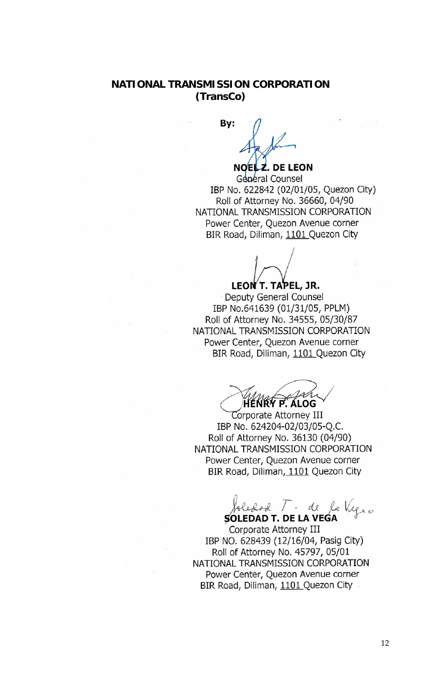# **NATIONAL TRANSMISSION CORPORATION (TransCo)**

 **By:** 

**NOEL Z. DE LEON** 

 $G_{\text{C}}$  IBP No. 622842 (02/01/05, Quezon City) ROL 022042 (02/01/03, QUE20 Roll of Attorney No. 36660, 04/90 NATIONAL TRANSMISSION CORPORATION Power Center, Quezon Avenue corner BIR Road, Diliman, 1101 Quezon City

**17 V** LEON T. TAPEL, JR.

Deputy General Counsel IBP No.641639 (01/31/05, PPLM) Roll of Attorney No. 34555, 05/30/87 NATIONAL TRANSMISSION CORPORATION Power Center, Quezon Avenue corner BIR Road, Diliman, 1101 Quezon City

**HENRY P. ALOG**  $N_{\text{Man}} \sim \text{A}$  $X'$   $P'$   $A$   $LOG$ 

**Corporate Attorney III** IBP No. 624204-02/03/05-Q.C. Roll of Attorney No. 36130 (04/90) NATIONAL TRANSMISSION CORPORATION Power Center, Quezon Avenue corner BIR Road, Diliman, 1101 Quezon City

 $\overline{\Omega}$  $\Lambda$ olestod /  $\cdot$ SOLEDAD T. DE LA VEGA

Corporate Attorney III IBP NO. 628439 (12/16/04, Pasig City) Roll of Attorney No. 45797, 05/01 NATIONAL TRANSMISSION CORPORATION Power Center, Quezon Avenue corner BIR Road, Diliman, 1101 Quezon City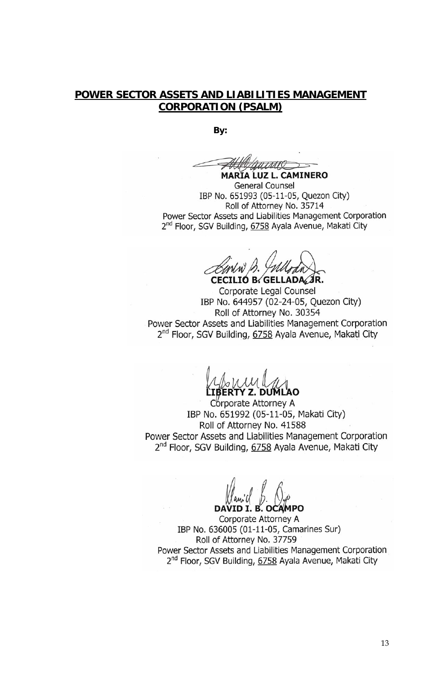### **POWER SECTOR ASSETS AND LIABILITIES MANAGEMENT CORPORATION (PSALM)**

**By:** 

**MARIA LUZ L. CAMINERO** 

 General Counsel IBP No. 651993 (05-11-05, Quezon City) Roll of Attorney No. 35714 Power Sector Assets and Liabilities Management Corporation 2<sup>nd</sup> Floor, SGV Building, 6758 Ayala Avenue, Makati City

**CECILIO B. GELLADA, JR.** 

Corporate Legal Counsel IBP No. 644957 (02-24-05, Quezon City) Roll of Attorney No. 30354 Power Sector Assets and Liabilities Management Corporation 2<sup>nd</sup> Floor, SGV Building, 6758 Ayala Avenue, Makati City

**LIBERTY Z. DUMLAO**  RTY Z. DUMLAO

Corporate Attorney A IBP No. 651992 (05-11-05, Makati City) Roll of Attorney No. 41588 Power Sector Assets and Liabilities Management Corporation 2<sup>nd</sup> Floor, SGV Building, 6758 Ayala Avenue, Makati City

 $\mathbf{D}$   $\mathbf{D}$   $\mathbf{D}$   $\mathbf{D}$   $\mathbf{D}$   $\mathbf{D}$  $\n *Mami C D Q Q Q Q Q Q Q Q Q Q Q Q Q Q Q Q Q Q Q Q Q Q Q Q Q Q Q Q*$ DAVID I. B. OCAMPO

Corporate Attorney A IBP No. 636005 (01-11-05, Camarines Sur) Roll of Attorney No. 37759 Power Sector Assets and Liabilities Management Corporation 2<sup>nd</sup> Floor, SGV Building, 6758 Ayala Avenue, Makati City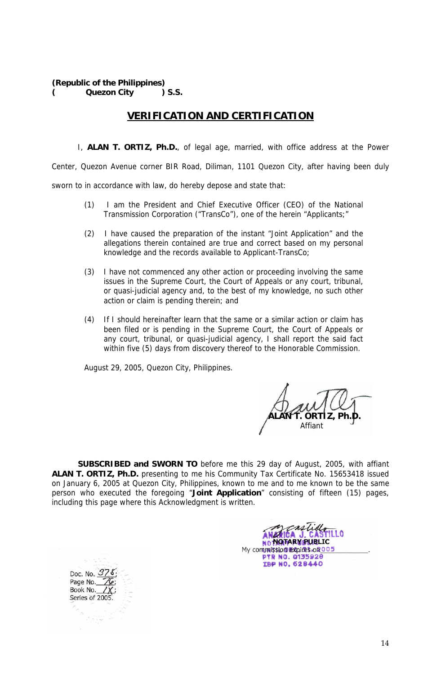**(Republic of the Philippines) ( Quezon City ) S.S.** 

### **VERIFICATION AND CERTIFICATION**

I, **ALAN T. ORTIZ, Ph.D.**, of legal age, married, with office address at the Power Center, Quezon Avenue corner BIR Road, Diliman, 1101 Quezon City, after having been duly sworn to in accordance with law, do hereby depose and state that:

- (1) I am the President and Chief Executive Officer (CEO) of the National Transmission Corporation ("TransCo"), one of the herein "Applicants;"
- (2) I have caused the preparation of the instant "Joint Application" and the allegations therein contained are true and correct based on my personal knowledge and the records available to Applicant-TransCo;
- (3) I have not commenced any other action or proceeding involving the same issues in the Supreme Court, the Court of Appeals or any court, tribunal, or quasi-judicial agency and, to the best of my knowledge, no such other action or claim is pending therein; and
- (4) If I should hereinafter learn that the same or a similar action or claim has been filed or is pending in the Supreme Court, the Court of Appeals or any court, tribunal, or quasi-judicial agency, I shall report the said fact within five (5) days from discovery thereof to the Honorable Commission.

August 29, 2005, Quezon City, Philippines.

 **ALAN T. ORTIZ, Ph.D.**  and the contract of the action of the Affiant

**SUBSCRIBED and SWORN TO** before me this 29 day of August, 2005, with affiant **ALAN T. ORTIZ, Ph.D.** presenting to me his Community Tax Certificate No. 15653418 issued on January 6, 2005 at Quezon City, Philippines, known to me and to me known to be the same person who executed the foregoing "**Joint Application**" consisting of fifteen (15) pages, including this page where this Acknowledgment is written.

**NOTARY PUBLIC** My commission expires on 00 IBP NO. 628440

Doc. No. 378<br>Page No. 76 Book No. Series of 2005

Series of 2005.